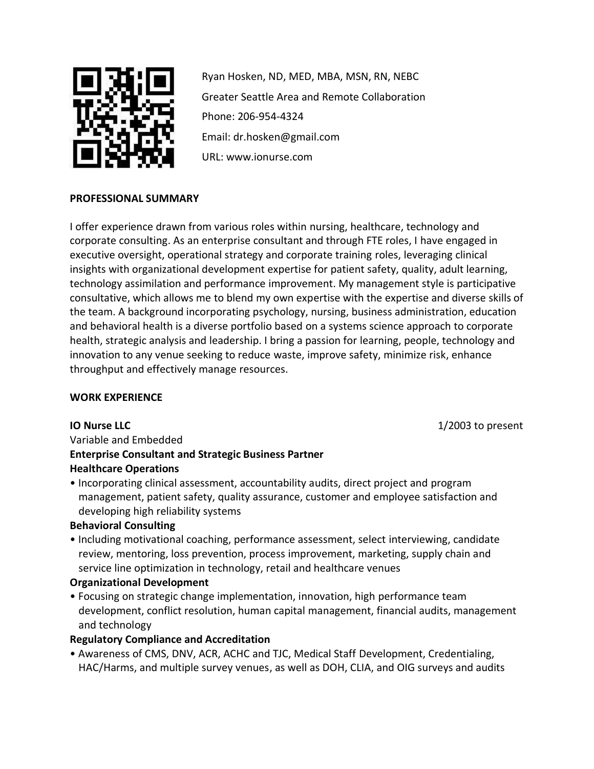

Ryan Hosken, ND, MED, MBA, MSN, RN, NEBC Greater Seattle Area and Remote Collaboration Phone: 206-954-4324 Email: dr.hosken@gmail.com URL: www.ionurse.com

## **PROFESSIONAL SUMMARY**

I offer experience drawn from various roles within nursing, healthcare, technology and corporate consulting. As an enterprise consultant and through FTE roles, I have engaged in executive oversight, operational strategy and corporate training roles, leveraging clinical insights with organizational development expertise for patient safety, quality, adult learning, technology assimilation and performance improvement. My management style is participative consultative, which allows me to blend my own expertise with the expertise and diverse skills of the team. A background incorporating psychology, nursing, business administration, education and behavioral health is a diverse portfolio based on a systems science approach to corporate health, strategic analysis and leadership. I bring a passion for learning, people, technology and innovation to any venue seeking to reduce waste, improve safety, minimize risk, enhance throughput and effectively manage resources.

## **WORK EXPERIENCE**

**IO Nurse LLC** 1/2003 to present

# Variable and Embedded **Enterprise Consultant and Strategic Business Partner Healthcare Operations**

• Incorporating clinical assessment, accountability audits, direct project and program management, patient safety, quality assurance, customer and employee satisfaction and developing high reliability systems

## **Behavioral Consulting**

• Including motivational coaching, performance assessment, select interviewing, candidate review, mentoring, loss prevention, process improvement, marketing, supply chain and service line optimization in technology, retail and healthcare venues

## **Organizational Development**

• Focusing on strategic change implementation, innovation, high performance team development, conflict resolution, human capital management, financial audits, management and technology

# **Regulatory Compliance and Accreditation**

• Awareness of CMS, DNV, ACR, ACHC and TJC, Medical Staff Development, Credentialing, HAC/Harms, and multiple survey venues, as well as DOH, CLIA, and OIG surveys and audits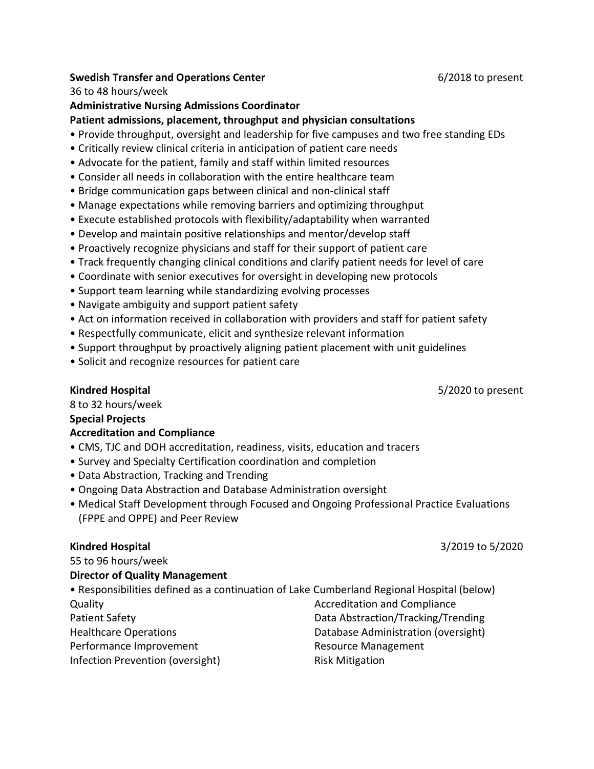#### **Swedish Transfer and Operations Center 6/2018 to present**

#### 36 to 48 hours/week

#### **Administrative Nursing Admissions Coordinator**

#### **Patient admissions, placement, throughput and physician consultations**

- Provide throughput, oversight and leadership for five campuses and two free standing EDs
- Critically review clinical criteria in anticipation of patient care needs
- Advocate for the patient, family and staff within limited resources
- Consider all needs in collaboration with the entire healthcare team
- Bridge communication gaps between clinical and non-clinical staff
- Manage expectations while removing barriers and optimizing throughput
- Execute established protocols with flexibility/adaptability when warranted
- Develop and maintain positive relationships and mentor/develop staff
- Proactively recognize physicians and staff for their support of patient care
- Track frequently changing clinical conditions and clarify patient needs for level of care
- Coordinate with senior executives for oversight in developing new protocols
- Support team learning while standardizing evolving processes
- Navigate ambiguity and support patient safety
- Act on information received in collaboration with providers and staff for patient safety
- Respectfully communicate, elicit and synthesize relevant information
- Support throughput by proactively aligning patient placement with unit guidelines
- Solicit and recognize resources for patient care

8 to 32 hours/week

#### **Special Projects**

#### **Accreditation and Compliance**

- CMS, TJC and DOH accreditation, readiness, visits, education and tracers
- Survey and Specialty Certification coordination and completion
- Data Abstraction, Tracking and Trending
- Ongoing Data Abstraction and Database Administration oversight
- Medical Staff Development through Focused and Ongoing Professional Practice Evaluations (FPPE and OPPE) and Peer Review

#### **Kindred Hospital** 3/2019 to 5/2020

55 to 96 hours/week

## **Director of Quality Management**

| • Responsibilities defined as a continuation of Lake Cumberland Regional Hospital (below) |                                     |
|-------------------------------------------------------------------------------------------|-------------------------------------|
| Quality                                                                                   | <b>Accreditation and Compliance</b> |
| Patient Safety                                                                            | Data Abstraction/Tracking/Trending  |
| <b>Healthcare Operations</b>                                                              | Database Administration (oversight) |
| Performance Improvement                                                                   | <b>Resource Management</b>          |
| Infection Prevention (oversight)                                                          | <b>Risk Mitigation</b>              |

**Kindred Hospital** 5/2020 to present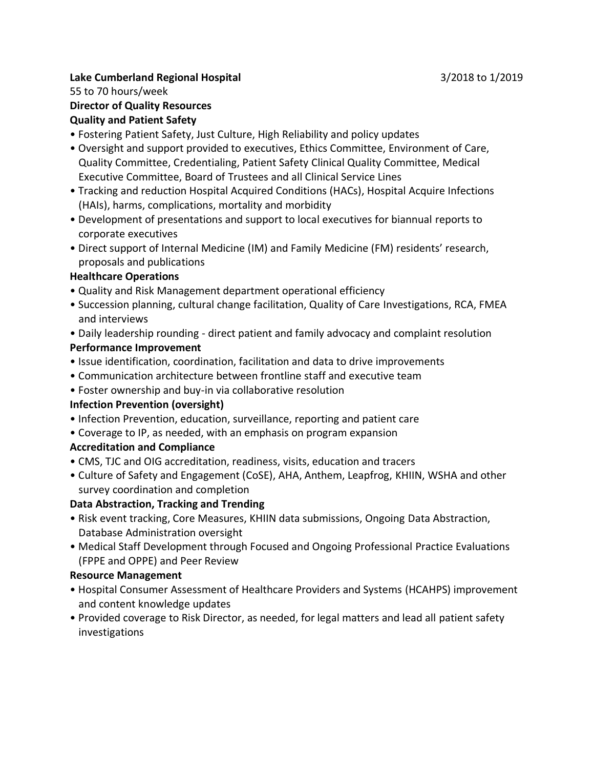## **Lake Cumberland Regional Hospital** 3/2018 to 1/2019

## 55 to 70 hours/week

# **Director of Quality Resources**

# **Quality and Patient Safety**

- Fostering Patient Safety, Just Culture, High Reliability and policy updates
- Oversight and support provided to executives, Ethics Committee, Environment of Care, Quality Committee, Credentialing, Patient Safety Clinical Quality Committee, Medical Executive Committee, Board of Trustees and all Clinical Service Lines
- Tracking and reduction Hospital Acquired Conditions (HACs), Hospital Acquire Infections (HAIs), harms, complications, mortality and morbidity
- Development of presentations and support to local executives for biannual reports to corporate executives
- Direct support of Internal Medicine (IM) and Family Medicine (FM) residents' research, proposals and publications

## **Healthcare Operations**

- Quality and Risk Management department operational efficiency
- Succession planning, cultural change facilitation, Quality of Care Investigations, RCA, FMEA and interviews
- Daily leadership rounding direct patient and family advocacy and complaint resolution **Performance Improvement**
- Issue identification, coordination, facilitation and data to drive improvements
- Communication architecture between frontline staff and executive team
- Foster ownership and buy-in via collaborative resolution

# **Infection Prevention (oversight)**

- Infection Prevention, education, surveillance, reporting and patient care
- Coverage to IP, as needed, with an emphasis on program expansion

# **Accreditation and Compliance**

- CMS, TJC and OIG accreditation, readiness, visits, education and tracers
- Culture of Safety and Engagement (CoSE), AHA, Anthem, Leapfrog, KHIIN, WSHA and other survey coordination and completion

# **Data Abstraction, Tracking and Trending**

- Risk event tracking, Core Measures, KHIIN data submissions, Ongoing Data Abstraction, Database Administration oversight
- Medical Staff Development through Focused and Ongoing Professional Practice Evaluations (FPPE and OPPE) and Peer Review

# **Resource Management**

- Hospital Consumer Assessment of Healthcare Providers and Systems (HCAHPS) improvement and content knowledge updates
- Provided coverage to Risk Director, as needed, for legal matters and lead all patient safety investigations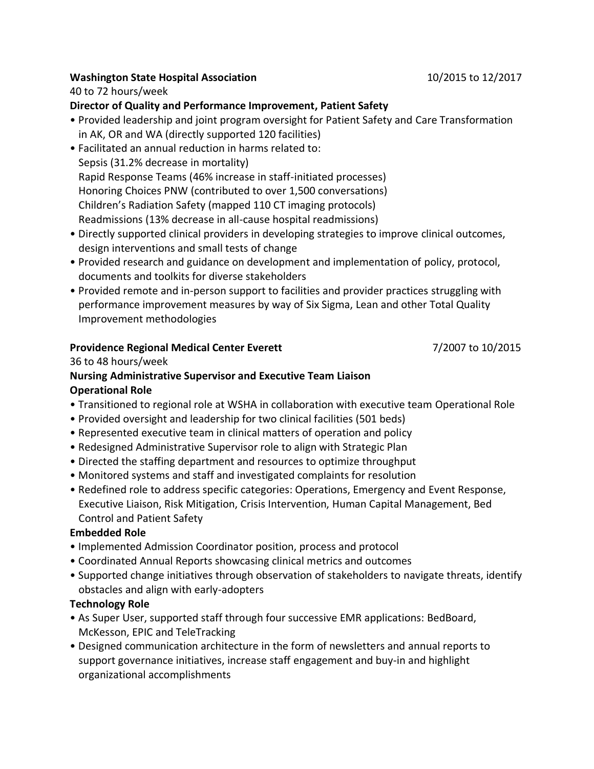## **Washington State Hospital Association** 10/2015 to 12/2017

#### 40 to 72 hours/week

#### **Director of Quality and Performance Improvement, Patient Safety**

- Provided leadership and joint program oversight for Patient Safety and Care Transformation in AK, OR and WA (directly supported 120 facilities)
- Facilitated an annual reduction in harms related to: Sepsis (31.2% decrease in mortality) Rapid Response Teams (46% increase in staff-initiated processes) Honoring Choices PNW (contributed to over 1,500 conversations) Children's Radiation Safety (mapped 110 CT imaging protocols) Readmissions (13% decrease in all-cause hospital readmissions)
- Directly supported clinical providers in developing strategies to improve clinical outcomes, design interventions and small tests of change
- Provided research and guidance on development and implementation of policy, protocol, documents and toolkits for diverse stakeholders
- Provided remote and in-person support to facilities and provider practices struggling with performance improvement measures by way of Six Sigma, Lean and other Total Quality Improvement methodologies

#### **Providence Regional Medical Center Everett** 7/2007 to 10/2015

#### 36 to 48 hours/week

#### **Nursing Administrative Supervisor and Executive Team Liaison Operational Role**

- Transitioned to regional role at WSHA in collaboration with executive team Operational Role
- Provided oversight and leadership for two clinical facilities (501 beds)
- Represented executive team in clinical matters of operation and policy
- Redesigned Administrative Supervisor role to align with Strategic Plan
- Directed the staffing department and resources to optimize throughput
- Monitored systems and staff and investigated complaints for resolution
- Redefined role to address specific categories: Operations, Emergency and Event Response, Executive Liaison, Risk Mitigation, Crisis Intervention, Human Capital Management, Bed Control and Patient Safety

#### **Embedded Role**

- Implemented Admission Coordinator position, process and protocol
- Coordinated Annual Reports showcasing clinical metrics and outcomes
- Supported change initiatives through observation of stakeholders to navigate threats, identify obstacles and align with early-adopters

#### **Technology Role**

- As Super User, supported staff through four successive EMR applications: BedBoard, McKesson, EPIC and TeleTracking
- Designed communication architecture in the form of newsletters and annual reports to support governance initiatives, increase staff engagement and buy-in and highlight organizational accomplishments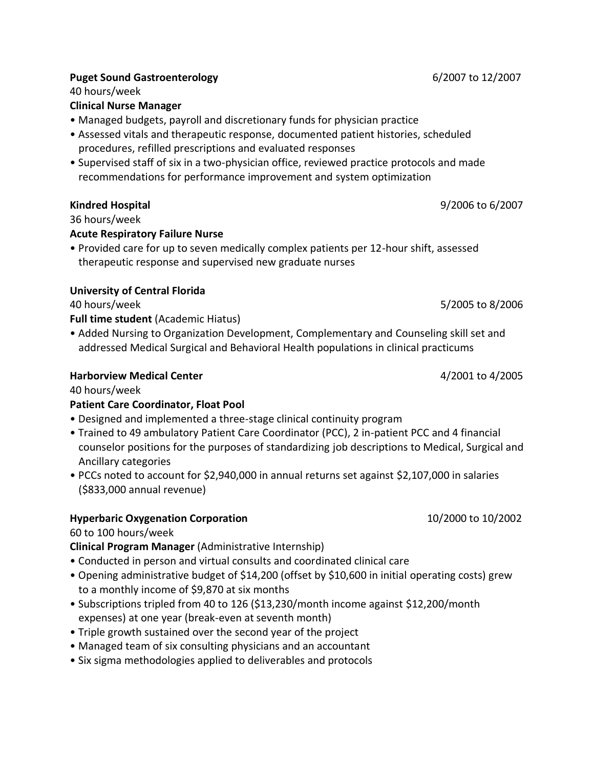### **Puget Sound Gastroenterology** 6/2007 to 12/2007

40 hours/week

## **Clinical Nurse Manager**

- Managed budgets, payroll and discretionary funds for physician practice
- Assessed vitals and therapeutic response, documented patient histories, scheduled procedures, refilled prescriptions and evaluated responses
- Supervised staff of six in a two-physician office, reviewed practice protocols and made recommendations for performance improvement and system optimization

# **Kindred Hospital** 9/2006 to 6/2007

36 hours/week

## **Acute Respiratory Failure Nurse**

• Provided care for up to seven medically complex patients per 12-hour shift, assessed therapeutic response and supervised new graduate nurses

## **University of Central Florida**

40 hours/week 5/2005 to 8/2006

**Full time student** (Academic Hiatus)

• Added Nursing to Organization Development, Complementary and Counseling skill set and addressed Medical Surgical and Behavioral Health populations in clinical practicums

## **Harborview Medical Center** 4/2001 to 4/2005

40 hours/week

# **Patient Care Coordinator, Float Pool**

- Designed and implemented a three-stage clinical continuity program
- Trained to 49 ambulatory Patient Care Coordinator (PCC), 2 in-patient PCC and 4 financial counselor positions for the purposes of standardizing job descriptions to Medical, Surgical and Ancillary categories
- PCCs noted to account for \$2,940,000 in annual returns set against \$2,107,000 in salaries (\$833,000 annual revenue)

# **Hyperbaric Oxygenation Corporation** 10/2000 to 10/2002

## 60 to 100 hours/week

**Clinical Program Manager** (Administrative Internship)

- Conducted in person and virtual consults and coordinated clinical care
- Opening administrative budget of \$14,200 (offset by \$10,600 in initial operating costs) grew to a monthly income of \$9,870 at six months
- Subscriptions tripled from 40 to 126 (\$13,230/month income against \$12,200/month expenses) at one year (break-even at seventh month)
- Triple growth sustained over the second year of the project
- Managed team of six consulting physicians and an accountant
- Six sigma methodologies applied to deliverables and protocols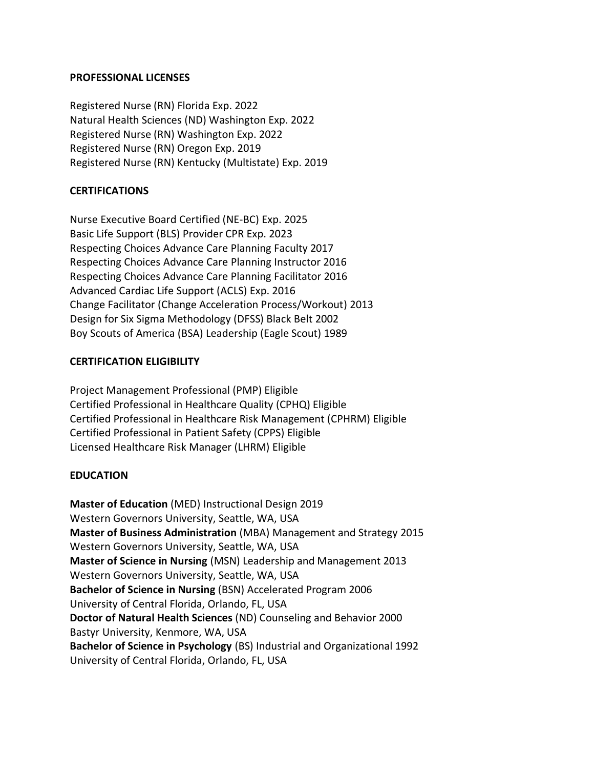#### **PROFESSIONAL LICENSES**

Registered Nurse (RN) Florida Exp. 2022 Natural Health Sciences (ND) Washington Exp. 2022 Registered Nurse (RN) Washington Exp. 2022 Registered Nurse (RN) Oregon Exp. 2019 Registered Nurse (RN) Kentucky (Multistate) Exp. 2019

#### **CERTIFICATIONS**

Nurse Executive Board Certified (NE-BC) Exp. 2025 Basic Life Support (BLS) Provider CPR Exp. 2023 Respecting Choices Advance Care Planning Faculty 2017 Respecting Choices Advance Care Planning Instructor 2016 Respecting Choices Advance Care Planning Facilitator 2016 Advanced Cardiac Life Support (ACLS) Exp. 2016 Change Facilitator (Change Acceleration Process/Workout) 2013 Design for Six Sigma Methodology (DFSS) Black Belt 2002 Boy Scouts of America (BSA) Leadership (Eagle Scout) 1989

## **CERTIFICATION ELIGIBILITY**

Project Management Professional (PMP) Eligible Certified Professional in Healthcare Quality (CPHQ) Eligible Certified Professional in Healthcare Risk Management (CPHRM) Eligible Certified Professional in Patient Safety (CPPS) Eligible Licensed Healthcare Risk Manager (LHRM) Eligible

## **EDUCATION**

**Master of Education** (MED) Instructional Design 2019 Western Governors University, Seattle, WA, USA **Master of Business Administration** (MBA) Management and Strategy 2015 Western Governors University, Seattle, WA, USA **Master of Science in Nursing** (MSN) Leadership and Management 2013 Western Governors University, Seattle, WA, USA **Bachelor of Science in Nursing** (BSN) Accelerated Program 2006 University of Central Florida, Orlando, FL, USA **Doctor of Natural Health Sciences** (ND) Counseling and Behavior 2000 Bastyr University, Kenmore, WA, USA **Bachelor of Science in Psychology** (BS) Industrial and Organizational 1992 University of Central Florida, Orlando, FL, USA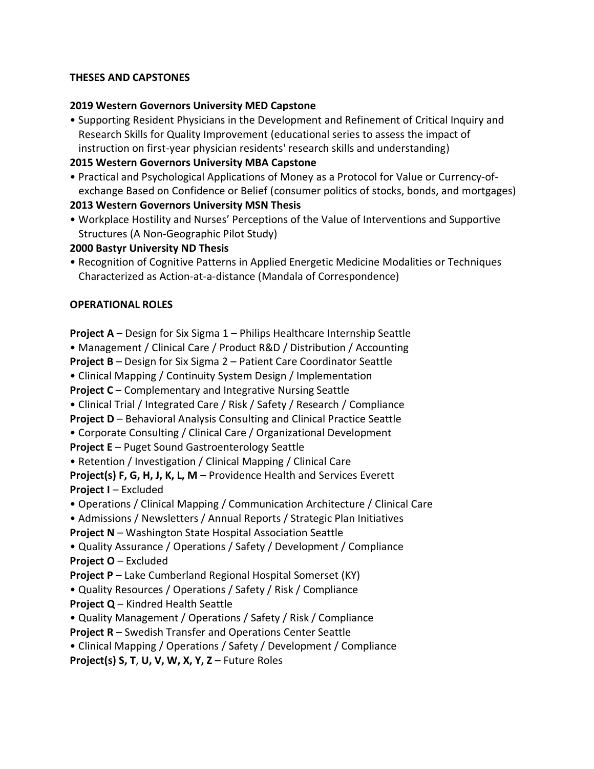## **THESES AND CAPSTONES**

## **2019 Western Governors University MED Capstone**

• Supporting Resident Physicians in the Development and Refinement of Critical Inquiry and Research Skills for Quality Improvement (educational series to assess the impact of instruction on first-year physician residents' research skills and understanding)

## **2015 Western Governors University MBA Capstone**

• Practical and Psychological Applications of Money as a Protocol for Value or Currency-ofexchange Based on Confidence or Belief (consumer politics of stocks, bonds, and mortgages)

## **2013 Western Governors University MSN Thesis**

• Workplace Hostility and Nurses' Perceptions of the Value of Interventions and Supportive Structures (A Non-Geographic Pilot Study)

## **2000 Bastyr University ND Thesis**

• Recognition of Cognitive Patterns in Applied Energetic Medicine Modalities or Techniques Characterized as Action-at-a-distance (Mandala of Correspondence)

## **OPERATIONAL ROLES**

**Project A** – Design for Six Sigma 1 – Philips Healthcare Internship Seattle

• Management / Clinical Care / Product R&D / Distribution / Accounting

**Project B** – Design for Six Sigma 2 – Patient Care Coordinator Seattle

• Clinical Mapping / Continuity System Design / Implementation

**Project C** – Complementary and Integrative Nursing Seattle

• Clinical Trial / Integrated Care / Risk / Safety / Research / Compliance

**Project D** – Behavioral Analysis Consulting and Clinical Practice Seattle

• Corporate Consulting / Clinical Care / Organizational Development

**Project E** – Puget Sound Gastroenterology Seattle

• Retention / Investigation / Clinical Mapping / Clinical Care

**Project(s) F, G, H, J, K, L, M** – Providence Health and Services Everett **Project I** – Excluded

• Operations / Clinical Mapping / Communication Architecture / Clinical Care

• Admissions / Newsletters / Annual Reports / Strategic Plan Initiatives

**Project N** – Washington State Hospital Association Seattle

- Quality Assurance / Operations / Safety / Development / Compliance **Project O** – Excluded
- **Project P** Lake Cumberland Regional Hospital Somerset (KY)
- Quality Resources / Operations / Safety / Risk / Compliance

**Project Q** – Kindred Health Seattle

• Quality Management / Operations / Safety / Risk / Compliance

**Project R** – Swedish Transfer and Operations Center Seattle

• Clinical Mapping / Operations / Safety / Development / Compliance

**Project(s) S, T**, **U, V, W, X, Y, Z** – Future Roles